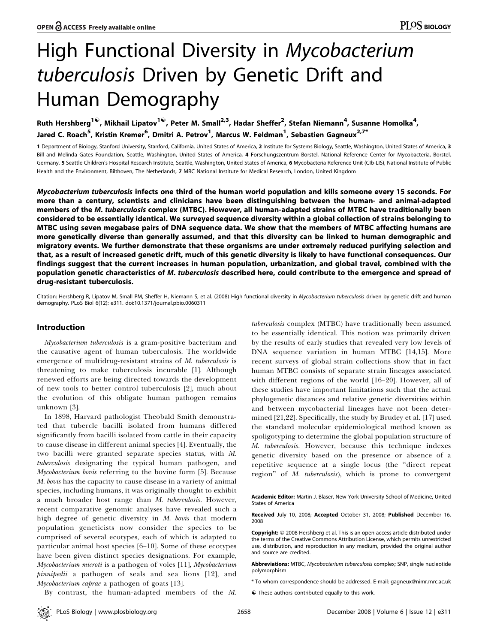# High Functional Diversity in Mycobacterium tuberculosis Driven by Genetic Drift and Human Demography

Ruth Hershberg $^{1\mathbb{Q}}$ , Mikhail Lipatov $^{1\mathbb{Q}}$ , Peter M. Small $^{2,3}$ , Hadar Sheffer $^2$ , Stefan Niemann $^4$ , Susanne Homolka $^4$ , Jared C. Roach<sup>5</sup>, Kristin Kremer<sup>6</sup>, Dmitri A. Petrov<sup>1</sup>, Marcus W. Feldman<sup>1</sup>, Sebastien Gagneux<sup>2,7\*</sup>

1 Department of Biology, Stanford University, Stanford, California, United States of America, 2 Institute for Systems Biology, Seattle, Washington, United States of America, 3 Bill and Melinda Gates Foundation, Seattle, Washington, United States of America, 4 Forschungszentrum Borstel, National Reference Center for Mycobacteria, Borstel, Germany, 5 Seattle Children's Hospital Research Institute, Seattle, Washington, United States of America, 6 Mycobacteria Reference Unit (CIb-LIS), National Institute of Public Health and the Environment, Bilthoven, The Netherlands, 7 MRC National Institute for Medical Research, London, United Kingdom

Mycobacterium tuberculosis infects one third of the human world population and kills someone every 15 seconds. For more than a century, scientists and clinicians have been distinguishing between the human- and animal-adapted members of the M. tuberculosis complex (MTBC). However, all human-adapted strains of MTBC have traditionally been considered to be essentially identical. We surveyed sequence diversity within a global collection of strains belonging to MTBC using seven megabase pairs of DNA sequence data. We show that the members of MTBC affecting humans are more genetically diverse than generally assumed, and that this diversity can be linked to human demographic and migratory events. We further demonstrate that these organisms are under extremely reduced purifying selection and that, as a result of increased genetic drift, much of this genetic diversity is likely to have functional consequences. Our findings suggest that the current increases in human population, urbanization, and global travel, combined with the population genetic characteristics of M. tuberculosis described here, could contribute to the emergence and spread of drug-resistant tuberculosis.

Citation: Hershberg R, Lipatov M, Small PM, Sheffer H, Niemann S, et al. (2008) High functional diversity in Mycobacterium tuberculosis driven by genetic drift and human demography. PLoS Biol 6(12): e311. doi:10.1371/journal.pbio.0060311

## Introduction

Mycobacterium tuberculosis is a gram-positive bacterium and the causative agent of human tuberculosis. The worldwide emergence of multidrug-resistant strains of M. tuberculosis is threatening to make tuberculosis incurable [1]. Although renewed efforts are being directed towards the development of new tools to better control tuberculosis [2], much about the evolution of this obligate human pathogen remains unknown [3].

In 1898, Harvard pathologist Theobald Smith demonstrated that tubercle bacilli isolated from humans differed significantly from bacilli isolated from cattle in their capacity to cause disease in different animal species [4]. Eventually, the two bacilli were granted separate species status, with M. tuberculosis designating the typical human pathogen, and Mycobacterium bovis referring to the bovine form [5]. Because M. bovis has the capacity to cause disease in a variety of animal species, including humans, it was originally thought to exhibit a much broader host range than M. tuberculosis. However, recent comparative genomic analyses have revealed such a high degree of genetic diversity in M. bovis that modern population geneticists now consider the species to be comprised of several ecotypes, each of which is adapted to particular animal host species [6–10]. Some of these ecotypes have been given distinct species designations. For example, Mycobacterium microti is a pathogen of voles [11], Mycobacterium pinnipedii a pathogen of seals and sea lions [12], and Mycobacterium caprae a pathogen of goats [13].

By contrast, the human-adapted members of the M.

tuberculosis complex (MTBC) have traditionally been assumed to be essentially identical. This notion was primarily driven by the results of early studies that revealed very low levels of DNA sequence variation in human MTBC [14,15]. More recent surveys of global strain collections show that in fact human MTBC consists of separate strain lineages associated with different regions of the world [16–20]. However, all of these studies have important limitations such that the actual phylogenetic distances and relative genetic diversities within and between mycobacterial lineages have not been determined [21,22]. Specifically, the study by Brudey et al. [17] used the standard molecular epidemiological method known as spoligotyping to determine the global population structure of M. tuberculosis. However, because this technique indexes genetic diversity based on the presence or absence of a repetitive sequence at a single locus (the ''direct repeat region'' of M. tuberculosis), which is prone to convergent

Academic Editor: Martin J. Blaser, New York University School of Medicine, United States of America

Received July 10, 2008; Accepted October 31, 2008; Published December 16, 2008

**Copyright:** © 2008 Hershberg et al. This is an open-access article distributed under the terms of the Creative Commons Attribution License, which permits unrestricted use, distribution, and reproduction in any medium, provided the original author and source are credited.

Abbreviations: MTBC, Mycobacterium tuberculosis complex; SNP, single nucleotide polymorphism

\* To whom correspondence should be addressed. E-mail: gagneux@nimr.mrc.ac.uk

 $\bullet$  These authors contributed equally to this work.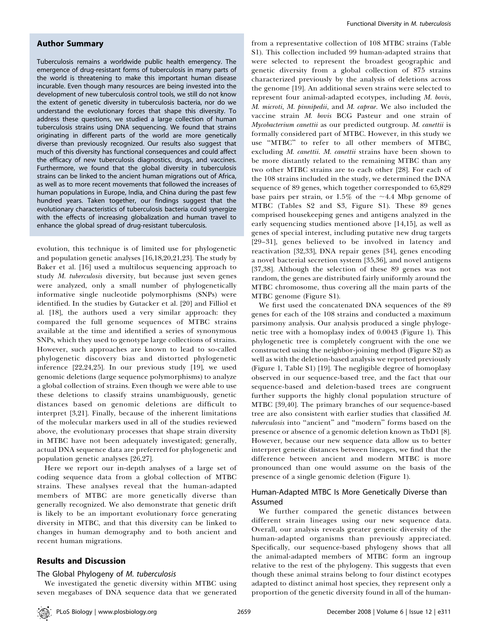## Author Summary

Tuberculosis remains a worldwide public health emergency. The emergence of drug-resistant forms of tuberculosis in many parts of the world is threatening to make this important human disease incurable. Even though many resources are being invested into the development of new tuberculosis control tools, we still do not know the extent of genetic diversity in tuberculosis bacteria, nor do we understand the evolutionary forces that shape this diversity. To address these questions, we studied a large collection of human tuberculosis strains using DNA sequencing. We found that strains originating in different parts of the world are more genetically diverse than previously recognized. Our results also suggest that much of this diversity has functional consequences and could affect the efficacy of new tuberculosis diagnostics, drugs, and vaccines. Furthermore, we found that the global diversity in tuberculosis strains can be linked to the ancient human migrations out of Africa, as well as to more recent movements that followed the increases of human populations in Europe, India, and China during the past few hundred years. Taken together, our findings suggest that the evolutionary characteristics of tuberculosis bacteria could synergize with the effects of increasing globalization and human travel to enhance the global spread of drug-resistant tuberculosis.

evolution, this technique is of limited use for phylogenetic and population genetic analyses [16,18,20,21,23]. The study by Baker et al. [16] used a multilocus sequencing approach to study M. tuberculosis diversity, but because just seven genes were analyzed, only a small number of phylogenetically informative single nucleotide polymorphisms (SNPs) were identified. In the studies by Gutacker et al. [20] and Filliol et al. [18], the authors used a very similar approach: they compared the full genome sequences of MTBC strains available at the time and identified a series of synonymous SNPs, which they used to genotype large collections of strains. However, such approaches are known to lead to so-called phylogenetic discovery bias and distorted phylogenetic inference [22,24,25]. In our previous study [19], we used genomic deletions (large sequence polymorphisms) to analyze a global collection of strains. Even though we were able to use these deletions to classify strains unambiguously, genetic distances based on genomic deletions are difficult to interpret [3,21]. Finally, because of the inherent limitations of the molecular markers used in all of the studies reviewed above, the evolutionary processes that shape strain diversity in MTBC have not been adequately investigated; generally, actual DNA sequence data are preferred for phylogenetic and population genetic analyses [26,27].

Here we report our in-depth analyses of a large set of coding sequence data from a global collection of MTBC strains. These analyses reveal that the human-adapted members of MTBC are more genetically diverse than generally recognized. We also demonstrate that genetic drift is likely to be an important evolutionary force generating diversity in MTBC, and that this diversity can be linked to changes in human demography and to both ancient and recent human migrations.

## Results and Discussion

#### The Global Phylogeny of M. tuberculosis

We investigated the genetic diversity within MTBC using seven megabases of DNA sequence data that we generated

from a representative collection of 108 MTBC strains (Table S1). This collection included 99 human-adapted strains that were selected to represent the broadest geographic and genetic diversity from a global collection of 875 strains characterized previously by the analysis of deletions across the genome [19]. An additional seven strains were selected to represent four animal-adapted ecotypes, including M. bovis, M. microti, M. pinnipedii, and M. caprae. We also included the vaccine strain M. bovis BCG Pasteur and one strain of Mycobacterium canettii as our predicted outgroup. M. canettii is formally considered part of MTBC. However, in this study we use ''MTBC'' to refer to all other members of MTBC, excluding M. canettii. M. canettii strains have been shown to be more distantly related to the remaining MTBC than any two other MTBC strains are to each other [28]. For each of the 108 strains included in the study, we determined the DNA sequence of 89 genes, which together corresponded to 65,829 base pairs per strain, or 1.5% of the  $\sim$ 4.4 Mbp genome of MTBC (Tables S2 and S3, Figure S1). These 89 genes comprised housekeeping genes and antigens analyzed in the early sequencing studies mentioned above [14,15], as well as genes of special interest, including putative new drug targets [29–31], genes believed to be involved in latency and reactivation [32,33], DNA repair genes [34], genes encoding a novel bacterial secretion system [35,36], and novel antigens [37,38]. Although the selection of these 89 genes was not random, the genes are distributed fairly uniformly around the MTBC chromosome, thus covering all the main parts of the MTBC genome (Figure S1).

We first used the concatenated DNA sequences of the 89 genes for each of the 108 strains and conducted a maximum parsimony analysis. Our analysis produced a single phylogenetic tree with a homoplasy index of 0.0043 (Figure 1). This phylogenetic tree is completely congruent with the one we constructed using the neighbor-joining method (Figure S2) as well as with the deletion-based analysis we reported previously (Figure 1, Table S1) [19]. The negligible degree of homoplasy observed in our sequence-based tree, and the fact that our sequence-based and deletion-based trees are congruent further supports the highly clonal population structure of MTBC [39,40]. The primary branches of our sequence-based tree are also consistent with earlier studies that classified M. tuberculosis into ''ancient'' and ''modern'' forms based on the presence or absence of a genomic deletion known as TbD1 [8]. However, because our new sequence data allow us to better interpret genetic distances between lineages, we find that the difference between ancient and modern MTBC is more pronounced than one would assume on the basis of the presence of a single genomic deletion (Figure 1).

## Human-Adapted MTBC Is More Genetically Diverse than Assumed

We further compared the genetic distances between different strain lineages using our new sequence data. Overall, our analysis reveals greater genetic diversity of the human-adapted organisms than previously appreciated. Specifically, our sequence-based phylogeny shows that all the animal-adapted members of MTBC form an ingroup relative to the rest of the phylogeny. This suggests that even though these animal strains belong to four distinct ecotypes adapted to distinct animal host species, they represent only a proportion of the genetic diversity found in all of the human-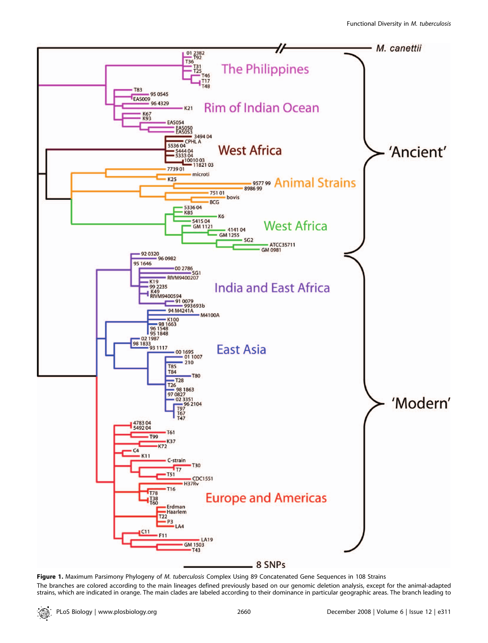

Figure 1. Maximum Parsimony Phylogeny of M. tuberculosis Complex Using 89 Concatenated Gene Sequences in 108 Strains The branches are colored according to the main lineages defined previously based on our genomic deletion analysis, except for the animal-adapted strains, which are indicated in orange. The main clades are labeled according to their dominance in particular geographic areas. The branch leading to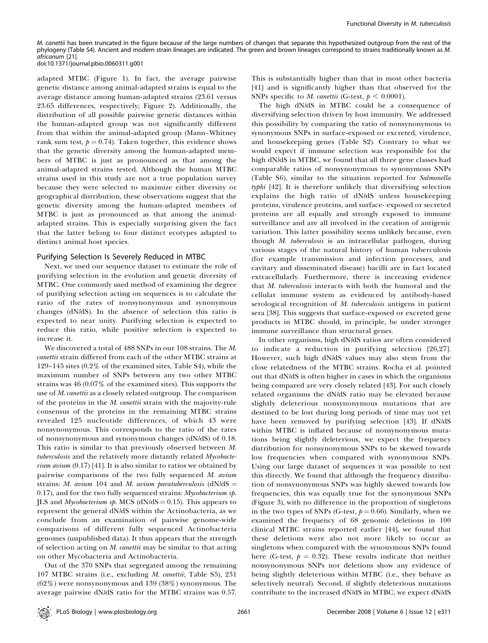M. canettii has been truncated in the figure because of the large numbers of changes that separate this hypothesized outgroup from the rest of the phylogeny (Table S4). Ancient and modern strain lineages are indicated. The green and brown lineages correspond to strains traditionally known as M. africanum [21]. doi:10.1371/journal.pbio.0060311.g001

adapted MTBC (Figure 1). In fact, the average pairwise genetic distance among animal-adapted strains is equal to the average distance among human-adapted strains (23.61 versus 23.65 differences, respectively; Figure 2). Additionally, the distribution of all possible pairwise genetic distances within the human-adapted group was not significantly different from that within the animal-adapted group (Mann–Whitney rank sum test,  $p = 0.74$ ). Taken together, this evidence shows that the genetic diversity among the human-adapted mem-

bers of MTBC is just as pronounced as that among the animal-adapted strains tested. Although the human MTBC strains used in this study are not a true population survey because they were selected to maximize either diversity or geographical distribution, these observations suggest that the genetic diversity among the human-adapted members of MTBC is just as pronounced as that among the animaladapted strains. This is especially surprising given the fact that the latter belong to four distinct ecotypes adapted to distinct animal host species.

## Purifying Selection Is Severely Reduced in MTBC

Next, we used our sequence dataset to estimate the role of purifying selection in the evolution and genetic diversity of MTBC. One commonly used method of examining the degree of purifying selection acting on sequences is to calculate the ratio of the rates of nonsynonymous and synonymous changes (dN/dS). In the absence of selection this ratio is expected to near unity. Purifying selection is expected to reduce this ratio, while positive selection is expected to increase it.

We discovered a total of 488 SNPs in our 108 strains. The M. canettii strain differed from each of the other MTBC strains at 129–145 sites (0.2% of the examined sites, Table S4), while the maximum number of SNPs between any two other MTBC strains was 46 (0.07% of the examined sites). This supports the use of M. canettii as a closely related outgroup. The comparison of the proteins in the M. canettii strain with the majority-rule consensus of the proteins in the remaining MTBC strains revealed 125 nucleotide differences, of which 43 were nonsynonymous. This corresponds to the ratio of the rates of nonsynonymous and synonymous changes (dN/dS) of 0.18. This ratio is similar to that previously observed between M. tuberculosis and the relatively more distantly related Mycobacte*rium avium*  $(0.17)$  [41]. It is also similar to ratios we obtained by pairwise comparisons of the two fully sequenced M. avium strains: M. avium 104 and M. avium paratuberculosis (dN/dS = 0.17), and for the two fully sequenced strains: Mycobacterium sp. JLS and Mycobacterium sp. MCS ( $dN/dS = 0.15$ ). This appears to represent the general dN/dS within the Actinobacteria, as we conclude from an examination of pairwise genome-wide comparisons of different fully sequenced Actinobacteria genomes (unpublished data). It thus appears that the strength of selection acting on M. canettii may be similar to that acting on other Mycobacteria and Actinobacteria.

Out of the 370 SNPs that segregated among the remaining 107 MTBC strains (i.e., excluding M. canettii; Table S5), 231 (62%) were nonsynonymous and 139 (38%) synonymous. The average pairwise dN/dS ratio for the MTBC strains was 0.57.

This is substantially higher than that in most other bacteria [41] and is significantly higher than that observed for the SNPs specific to *M. canettii* (G-test,  $p < 0.0001$ ).

The high dN/dS in MTBC could be a consequence of diversifying selection driven by host immunity. We addressed this possibility by comparing the ratio of nonsynonymous to synonymous SNPs in surface-exposed or excreted, virulence, and housekeeping genes (Table S2). Contrary to what we would expect if immune selection was responsible for the high dN/dS in MTBC, we found that all three gene classes had comparable ratios of nonsynonymous to synonymous SNPs (Table S6), similar to the situation reported for Salmonella typhi [42]. It is therefore unlikely that diversifying selection explains the high ratio of dN/dS unless housekeeping proteins, virulence proteins, and surface- exposed or secreted proteins are all equally and strongly exposed to immune surveillance and are all involved in the creation of antigenic variation. This latter possibility seems unlikely because, even though M. tuberculosis is an intracellular pathogen, during various stages of the natural history of human tuberculosis (for example transmission and infection processes, and cavitary and disseminated disease) bacilli are in fact located extracellularly. Furthermore, there is increasing evidence that M. tuberculosis interacts with both the humoral and the cellular immune system as evidenced by antibody-based serological recognition of M. tuberculosis antigens in patient sera [38]. This suggests that surface-exposed or excreted gene products in MTBC should, in principle, be under stronger immune surveillance than structural genes.

In other organisms, high dN/dS ratios are often considered to indicate a reduction in purifying selection [26,27]. However, such high dN/dS values may also stem from the close relatedness of the MTBC strains. Rocha et al. pointed out that dN/dS is often higher in cases in which the organisms being compared are very closely related [43]. For such closely related organisms the dN/dS ratio may be elevated because slightly deleterious nonsynonymous mutations that are destined to be lost during long periods of time may not yet have been removed by purifying selection [43]. If dN/dS within MTBC is inflated because of nonsynonymous mutations being slightly deleterious, we expect the frequency distribution for nonsynonymous SNPs to be skewed towards low frequencies when compared with synonymous SNPs. Using our large dataset of sequences it was possible to test this directly. We found that although the frequency distribution of nonsynonymous SNPs was highly skewed towards low frequencies, this was equally true for the synonymous SNPs (Figure 3), with no difference in the proportion of singletons in the two types of SNPs (G-test,  $p = 0.66$ ). Similarly, when we examined the frequency of 68 genomic deletions in 100 clinical MTBC strains reported earlier [44], we found that these deletions were also not more likely to occur as singletons when compared with the synonymous SNPs found here (G-test,  $p = 0.32$ ). These results indicate that neither nonsynonymous SNPs nor deletions show any evidence of being slightly deleterious within MTBC (i.e., they behave as selectively neutral). Second, if slightly deleterious mutations contribute to the increased dN/dS in MTBC, we expect dN/dS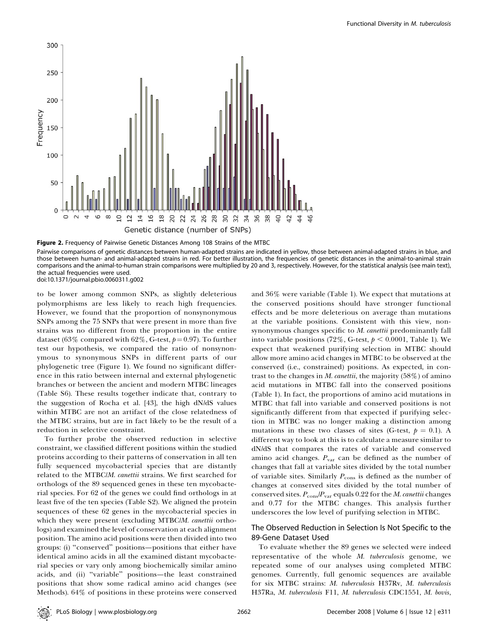

Figure 2. Frequency of Pairwise Genetic Distances Among 108 Strains of the MTBC Pairwise comparisons of genetic distances between human-adapted strains are indicated in yellow, those between animal-adapted strains in blue, and those between human- and animal-adapted strains in red. For better illustration, the frequencies of genetic distances in the animal-to-animal strain comparisons and the animal-to-human strain comparisons were multiplied by 20 and 3, respectively. However, for the statistical analysis (see main text), the actual frequencies were used. doi:10.1371/journal.pbio.0060311.g002

to be lower among common SNPs, as slightly deleterious polymorphisms are less likely to reach high frequencies. However, we found that the proportion of nonsynonymous SNPs among the 75 SNPs that were present in more than five strains was no different from the proportion in the entire dataset (63% compared with 62%, G-test,  $p=0.97$ ). To further test our hypothesis, we compared the ratio of nonsynonymous to synonymous SNPs in different parts of our phylogenetic tree (Figure 1). We found no significant difference in this ratio between internal and external phylogenetic branches or between the ancient and modern MTBC lineages (Table S6). These results together indicate that, contrary to the suggestion of Rocha et al. [43], the high dN/dS values within MTBC are not an artifact of the close relatedness of the MTBC strains, but are in fact likely to be the result of a reduction in selective constraint.

To further probe the observed reduction in selective constraint, we classified different positions within the studied proteins according to their patterns of conservation in all ten fully sequenced mycobacterial species that are distantly related to the MTBC/M. canettii strains. We first searched for orthologs of the 89 sequenced genes in these ten mycobacterial species. For 62 of the genes we could find orthologs in at least five of the ten species (Table S2). We aligned the protein sequences of these 62 genes in the mycobacterial species in which they were present (excluding MTBC/M. canettii orthologs) and examined the level of conservation at each alignment position. The amino acid positions were then divided into two groups: (i) ''conserved'' positions—positions that either have identical amino acids in all the examined distant mycobacterial species or vary only among biochemically similar amino acids, and (ii) ''variable'' positions—the least constrained positions that show some radical amino acid changes (see Methods). 64% of positions in these proteins were conserved

and 36% were variable (Table 1). We expect that mutations at the conserved positions should have stronger functional effects and be more deleterious on average than mutations at the variable positions. Consistent with this view, nonsynonymous changes specific to M. canettii predominantly fall into variable positions (72%, G-test,  $p < 0.0001$ , Table 1). We expect that weakened purifying selection in MTBC should allow more amino acid changes in MTBC to be observed at the conserved (i.e., constrained) positions. As expected, in contrast to the changes in M. *canettii*, the majority  $(58\%)$  of amino acid mutations in MTBC fall into the conserved positions (Table 1). In fact, the proportions of amino acid mutations in MTBC that fall into variable and conserved positions is not significantly different from that expected if purifying selection in MTBC was no longer making a distinction among mutations in these two classes of sites (G-test,  $p = 0.1$ ). A different way to look at this is to calculate a measure similar to dN/dS that compares the rates of variable and conserved amino acid changes.  $P_{var}$  can be defined as the number of changes that fall at variable sites divided by the total number of variable sites. Similarly  $P_{\text{cons}}$  is defined as the number of changes at conserved sites divided by the total number of conserved sites.  $P_{\text{cons}}/P_{\text{var}}$  equals 0.22 for the *M. canettii* changes and 0.77 for the MTBC changes. This analysis further underscores the low level of purifying selection in MTBC.

## The Observed Reduction in Selection Is Not Specific to the 89-Gene Dataset Used

To evaluate whether the 89 genes we selected were indeed representative of the whole M. tuberculosis genome, we repeated some of our analyses using completed MTBC genomes. Currently, full genomic sequences are available for six MTBC strains: M. tuberculosis H37Rv, M. tuberculosis H37Ra, M. tuberculosis F11, M. tuberculosis CDC1551, M. bovis,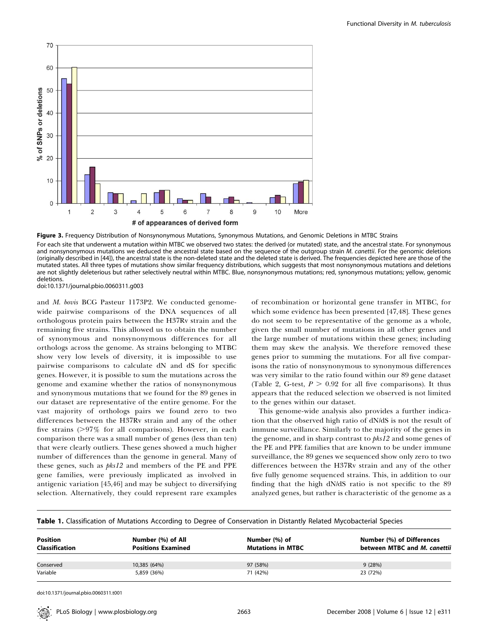

Figure 3. Frequency Distribution of Nonsynonymous Mutations, Synonymous Mutations, and Genomic Deletions in MTBC Strains For each site that underwent a mutation within MTBC we observed two states: the derived (or mutated) state, and the ancestral state. For synonymous and nonsynonymous mutations we deduced the ancestral state based on the sequence of the outgroup strain M. canettii. For the genomic deletions (originally described in [44]), the ancestral state is the non-deleted state and the deleted state is derived. The frequencies depicted here are those of the mutated states. All three types of mutations show similar frequency distributions, which suggests that most nonsynonymous mutations and deletions are not slightly deleterious but rather selectively neutral within MTBC. Blue, nonsynonymous mutations; red, synonymous mutations; yellow, genomic deletions.

doi:10.1371/journal.pbio.0060311.g003

and M. bovis BCG Pasteur 1173P2. We conducted genomewide pairwise comparisons of the DNA sequences of all orthologous protein pairs between the H37Rv strain and the remaining five strains. This allowed us to obtain the number of synonymous and nonsynonymous differences for all orthologs across the genome. As strains belonging to MTBC show very low levels of diversity, it is impossible to use pairwise comparisons to calculate dN and dS for specific genes. However, it is possible to sum the mutations across the genome and examine whether the ratios of nonsynonymous and synonymous mutations that we found for the 89 genes in our dataset are representative of the entire genome. For the vast majority of orthologs pairs we found zero to two differences between the H37Rv strain and any of the other five strains  $(>97\%$  for all comparisons). However, in each comparison there was a small number of genes (less than ten) that were clearly outliers. These genes showed a much higher number of differences than the genome in general. Many of these genes, such as  $pks12$  and members of the PE and PPE gene families, were previously implicated as involved in antigenic variation [45,46] and may be subject to diversifying selection. Alternatively, they could represent rare examples

of recombination or horizontal gene transfer in MTBC, for which some evidence has been presented [47,48]. These genes do not seem to be representative of the genome as a whole, given the small number of mutations in all other genes and the large number of mutations within these genes; including them may skew the analysis. We therefore removed these genes prior to summing the mutations. For all five comparisons the ratio of nonsynonymous to synonymous differences was very similar to the ratio found within our 89 gene dataset (Table 2, G-test,  $P > 0.92$  for all five comparisons). It thus appears that the reduced selection we observed is not limited to the genes within our dataset.

This genome-wide analysis also provides a further indication that the observed high ratio of dN/dS is not the result of immune surveillance. Similarly to the majority of the genes in the genome, and in sharp contrast to  $pks12$  and some genes of the PE and PPE families that are known to be under immune surveillance, the 89 genes we sequenced show only zero to two differences between the H37Rv strain and any of the other five fully genome sequenced strains. This, in addition to our finding that the high dN/dS ratio is not specific to the 89 analyzed genes, but rather is characteristic of the genome as a

Table 1. Classification of Mutations According to Degree of Conservation in Distantly Related Mycobacterial Species

| <b>Position</b><br><b>Classification</b> | Number (%) of All<br><b>Positions Examined</b> | Number (%) of<br><b>Mutations in MTBC</b> | <b>Number (%) of Differences</b><br>between MTBC and M. canettii |
|------------------------------------------|------------------------------------------------|-------------------------------------------|------------------------------------------------------------------|
|                                          |                                                |                                           |                                                                  |
| Conserved                                | 10,385 (64%)                                   | 97 (58%)                                  | 9(28%)                                                           |
| Variable                                 | 5,859 (36%)                                    | 71 (42%)                                  | 23 (72%)                                                         |

doi:10.1371/journal.pbio.0060311.t001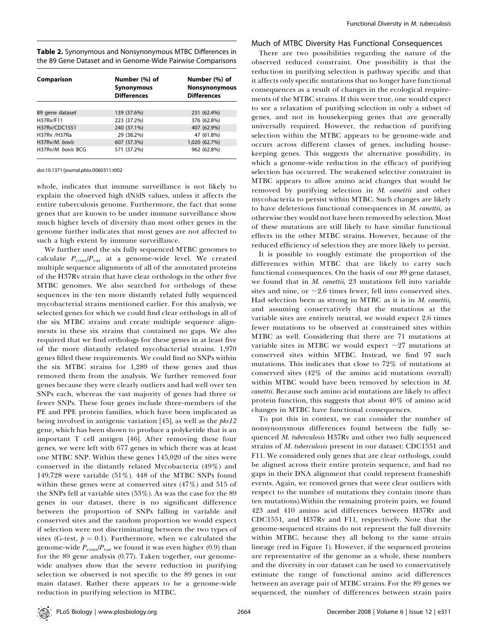Table 2. Synonymous and Nonsynonymous MTBC Differences in the 89 Gene Dataset and in Genome-Wide Pairwise Comparisons

| Comparison         | Number (%) of<br><b>Synonymous</b><br><b>Differences</b> | Number (%) of<br><b>Nonsynonymous</b><br><b>Differences</b> |
|--------------------|----------------------------------------------------------|-------------------------------------------------------------|
|                    |                                                          |                                                             |
| 89 gene dataset    | 139 (37.6%)                                              | 231 (62.4%)                                                 |
| H37Rv/F11          | 223 (37.2%)                                              | 376 (62.8%)                                                 |
| H37Rv/CDC1551      | 240 (37.1%)                                              | 407 (62.9%)                                                 |
| H37Rv /H37Ra       | 29 (38.2%)                                               | 47 (61.8%)                                                  |
| H37Rv/M. bovis     | 607 (37.3%)                                              | 1,020 (62.7%)                                               |
| H37Rv/M. bovis BCG | 571 (37.2%)                                              | 962 (62.8%)                                                 |

doi:10.1371/journal.pbio.0060311.t002

whole, indicates that immune surveillance is not likely to explain the observed high dN/dS values, unless it affects the entire tuberculosis genome. Furthermore, the fact that some genes that are known to be under immune surveillance show much higher levels of diversity than most other genes in the genome further indicates that most genes are not affected to such a high extent by immune surveillance.

We further used the six fully sequenced MTBC genomes to calculate  $P_{\text{cons}}/P_{\text{var}}$  at a genome-wide level. We created multiple sequence alignments of all of the annotated proteins of the H37Rv strain that have clear orthologs in the other five MTBC genomes. We also searched for orthologs of these sequences in the ten more distantly related fully sequenced mycobacterial strains mentioned earlier. For this analysis, we selected genes for which we could find clear orthologs in all of the six MTBC strains and create multiple sequence alignments in these six strains that contained no gaps. We also required that we find orthologs for these genes in at least five of the more distantly related mycobacterial strains. 1,970 genes filled these requirements. We could find no SNPs within the six MTBC strains for 1,289 of these genes and thus removed them from the analysis. We further removed four genes because they were clearly outliers and had well over ten SNPs each, whereas the vast majority of genes had three or fewer SNPs. These four genes include three-members of the PE and PPE protein families, which have been implicated as being involved in antigenic variation [45], as well as the *pks12* gene, which has been shown to produce a polyketide that is an important T cell antigen [46]. After removing these four genes, we were left with 677 genes in which there was at least one MTBC SNP. Within these genes 145,020 of the sites were conserved in the distantly related Mycobacteria (49%) and 149,728 were variable (51%). 448 of the MTBC SNPs found within these genes were at conserved sites (47%) and 515 of the SNPs fell at variable sites (53%). As was the case for the 89 genes in our dataset, there is no significant difference between the proportion of SNPs falling in variable and conserved sites and the random proportion we would expect if selection were not discriminating between the two types of sites (G-test,  $p = 0.1$ ). Furthermore, when we calculated the genome-wide  $P_{\rm cons}$   $P_{\rm var}$  we found it was even higher (0.9) than for the 89 gene analysis (0.77). Taken together, our genomewide analyses show that the severe reduction in purifying selection we observed is not specific to the 89 genes in our main dataset. Rather there appears to be a genome-wide reduction in purifying selection in MTBC.

#### Much of MTBC Diversity Has Functional Consequences

There are two possibilities regarding the nature of the observed reduced constraint. One possibility is that the reduction in purifying selection is pathway specific and that it affects only specific mutations that no longer have functional consequences as a result of changes in the ecological requirements of the MTBC strains. If this were true, one would expect to see a relaxation of purifying selection in only a subset of genes, and not in housekeeping genes that are generally universally required. However, the reduction of purifying selection within the MTBC appears to be genome-wide and occurs across different classes of genes, including housekeeping genes. This suggests the alternative possibility, in which a genome-wide reduction in the efficacy of purifying selection has occurred. The weakened selective constraint in MTBC appears to allow amino acid changes that would be removed by purifying selection in M. canettii and other mycobacteria to persist within MTBC. Such changes are likely to have deleterious functional consequences in  $M$ . *canettii*, as otherwise they would not have been removed by selection. Most of these mutations are still likely to have similar functional effects in the other MTBC strains. However, because of the reduced efficiency of selection they are more likely to persist.

It is possible to roughly estimate the proportion of the differences within MTBC that are likely to carry such functional consequences. On the basis of our 89 gene dataset, we found that in M. canettii, 23 mutations fell into variable sites and nine, or  $\sim$  2.6 times fewer, fell into conserved sites. Had selection been as strong in MTBC as it is in M. canettii, and assuming conservatively that the mutations at the variable sites are entirely neutral, we would expect 2.6 times fewer mutations to be observed at constrained sites within MTBC as well. Considering that there are 71 mutations at variable sites in MTBC we would expect  $\sim$ 27 mutations at conserved sites within MTBC. Instead, we find 97 such mutations. This indicates that close to 72% of mutations at conserved sites (42% of the amino acid mutations overall) within MTBC would have been removed by selection in M. canettii. Because such amino acid mutations are likely to affect protein function, this suggests that about 40% of amino acid changes in MTBC have functional consequences.

To put this in context, we can consider the number of nonsynonymous differences found between the fully sequenced M. tuberculosis H37Rv and other two fully sequenced strains of M. tuberculosis present in our dataset: CDC1551 and F11. We considered only genes that are clear orthologs, could be aligned across their entire protein sequence, and had no gaps in their DNA alignment that could represent frameshift events. Again, we removed genes that were clear outliers with respect to the number of mutations they contain (more than ten mutations).Within the remaining protein pairs, we found 423 and 410 amino acid differences between H37Rv and CDC1551, and H37Rv and F11, respectively. Note that the genome-sequenced strains do not represent the full diversity within MTBC, because they all belong to the same strain lineage (red in Figure 1). However, if the sequenced proteins are representative of the genome as a whole, these numbers and the diversity in our dataset can be used to conservatively estimate the range of functional amino acid differences between an average pair of MTBC strains. For the 89 genes we sequenced, the number of differences between strain pairs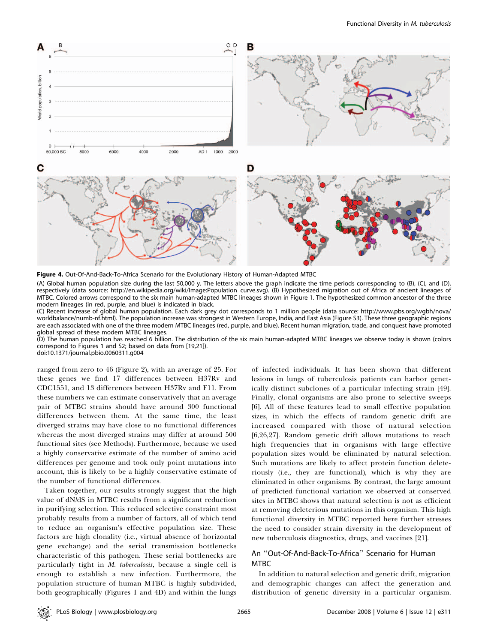

Figure 4. Out-Of-And-Back-To-Africa Scenario for the Evolutionary History of Human-Adapted MTBC

(A) Global human population size during the last 50,000 y. The letters above the graph indicate the time periods corresponding to (B), (C), and (D), respectively (data source: http://en.wikipedia.org/wiki/Image:Population\_curve.svg). (B) Hypothesized migration out of Africa of ancient lineages of MTBC. Colored arrows correspond to the six main human-adapted MTBC lineages shown in Figure 1. The hypothesized common ancestor of the three modern lineages (in red, purple, and blue) is indicated in black.

(C) Recent increase of global human population. Each dark grey dot corresponds to 1 million people (data source: http://www.pbs.org/wgbh/nova/ worldbalance/numb-nf.html). The population increase was strongest in Western Europe, India, and East Asia (Figure S3). These three geographic regions are each associated with one of the three modern MTBC lineages (red, purple, and blue). Recent human migration, trade, and conquest have promoted global spread of these modern MTBC lineages.

(D) The human population has reached 6 billion. The distribution of the six main human-adapted MTBC lineages we observe today is shown (colors correspond to Figures 1 and S2; based on data from [19,21]).

doi:10.1371/journal.pbio.0060311.g004

ranged from zero to 46 (Figure 2), with an average of 25. For these genes we find 17 differences between H37Rv and CDC1551, and 13 differences between H37Rv and F11. From these numbers we can estimate conservatively that an average pair of MTBC strains should have around 300 functional differences between them. At the same time, the least diverged strains may have close to no functional differences whereas the most diverged strains may differ at around 500 functional sites (see Methods). Furthermore, because we used a highly conservative estimate of the number of amino acid differences per genome and took only point mutations into account, this is likely to be a highly conservative estimate of the number of functional differences.

Taken together, our results strongly suggest that the high value of dN/dS in MTBC results from a significant reduction in purifying selection. This reduced selective constraint most probably results from a number of factors, all of which tend to reduce an organism's effective population size. These factors are high clonality (i.e., virtual absence of horizontal gene exchange) and the serial transmission bottlenecks characteristic of this pathogen. These serial bottlenecks are particularly tight in M. tuberculosis, because a single cell is enough to establish a new infection. Furthermore, the population structure of human MTBC is highly subdivided, both geographically (Figures 1 and 4D) and within the lungs of infected individuals. It has been shown that different lesions in lungs of tuberculosis patients can harbor genetically distinct subclones of a particular infecting strain [49]. Finally, clonal organisms are also prone to selective sweeps [6]. All of these features lead to small effective population sizes, in which the effects of random genetic drift are increased compared with those of natural selection [6,26,27]. Random genetic drift allows mutations to reach high frequencies that in organisms with large effective population sizes would be eliminated by natural selection. Such mutations are likely to affect protein function deleteriously (i.e., they are functional), which is why they are eliminated in other organisms. By contrast, the large amount of predicted functional variation we observed at conserved sites in MTBC shows that natural selection is not as efficient at removing deleterious mutations in this organism. This high functional diversity in MTBC reported here further stresses the need to consider strain diversity in the development of new tuberculosis diagnostics, drugs, and vaccines [21].

## An ''Out-Of-And-Back-To-Africa'' Scenario for Human MTBC

In addition to natural selection and genetic drift, migration and demographic changes can affect the generation and distribution of genetic diversity in a particular organism.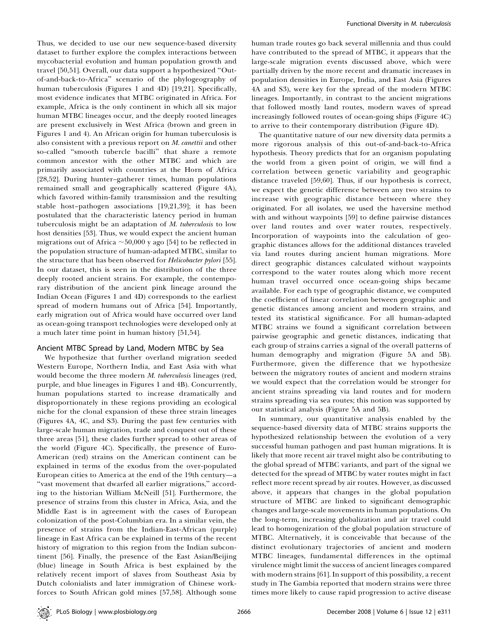Thus, we decided to use our new sequence-based diversity dataset to further explore the complex interactions between mycobacterial evolution and human population growth and travel [50,51]. Overall, our data support a hypothesized ''Outof-and-back-to-Africa'' scenario of the phylogeography of human tuberculosis (Figures 1 and 4D) [19,21]. Specifically, most evidence indicates that MTBC originated in Africa. For example, Africa is the only continent in which all six major human MTBC lineages occur, and the deeply rooted lineages are present exclusively in West Africa (brown and green in Figures 1 and 4). An African origin for human tuberculosis is also consistent with a previous report on M. canettii and other so-called ''smooth tubercle bacilli'' that share a remote common ancestor with the other MTBC and which are primarily associated with countries at the Horn of Africa [28,52]. During hunter–gatherer times, human populations remained small and geographically scattered (Figure 4A), which favored within-family transmission and the resulting stable host–pathogen associations [19,21,39]; it has been postulated that the characteristic latency period in human tuberculosis might be an adaptation of M. tuberculosis to low host densities [53]. Thus, we would expect the ancient human migrations out of Africa  $\sim$  50,000 y ago [54] to be reflected in the population structure of human-adapted MTBC, similar to the structure that has been observed for *Helicobacter pylori* [55]. In our dataset, this is seen in the distribution of the three deeply rooted ancient strains. For example, the contemporary distribution of the ancient pink lineage around the Indian Ocean (Figures 1 and 4D) corresponds to the earliest spread of modern humans out of Africa [54]. Importantly, early migration out of Africa would have occurred over land as ocean-going transport technologies were developed only at a much later time point in human history [51,54].

### Ancient MTBC Spread by Land, Modern MTBC by Sea

We hypothesize that further overland migration seeded Western Europe, Northern India, and East Asia with what would become the three modern M. tuberculosis lineages (red, purple, and blue lineages in Figures 1 and 4B). Concurrently, human populations started to increase dramatically and disproportionately in these regions providing an ecological niche for the clonal expansion of these three strain lineages (Figures 4A, 4C, and S3). During the past few centuries with large-scale human migration, trade and conquest out of these three areas [51], these clades further spread to other areas of the world (Figure 4C). Specifically, the presence of Euro-American (red) strains on the American continent can be explained in terms of the exodus from the over-populated European cities to America at the end of the 19th century—a "vast movement that dwarfed all earlier migrations," according to the historian William McNeill [51]. Furthermore, the presence of strains from this cluster in Africa, Asia, and the Middle East is in agreement with the cases of European colonization of the post-Columbian era. In a similar vein, the presence of strains from the Indian-East-African (purple) lineage in East Africa can be explained in terms of the recent history of migration to this region from the Indian subcontinent [56]. Finally, the presence of the East Asian/Beijing (blue) lineage in South Africa is best explained by the relatively recent import of slaves from Southeast Asia by Dutch colonialists and later immigration of Chinese workforces to South African gold mines [57,58]. Although some human trade routes go back several millennia and thus could have contributed to the spread of MTBC, it appears that the large-scale migration events discussed above, which were partially driven by the more recent and dramatic increases in population densities in Europe, India, and East Asia (Figures 4A and S3), were key for the spread of the modern MTBC lineages. Importantly, in contrast to the ancient migrations that followed mostly land routes, modern waves of spread increasingly followed routes of ocean-going ships (Figure 4C) to arrive to their contemporary distribution (Figure 4D).

The quantitative nature of our new diversity data permits a more rigorous analysis of this out-of-and-back-to-Africa hypothesis. Theory predicts that for an organism populating the world from a given point of origin, we will find a correlation between genetic variability and geographic distance traveled [59,60]. Thus, if our hypothesis is correct, we expect the genetic difference between any two strains to increase with geographic distance between where they originated. For all isolates, we used the haversine method with and without waypoints [59] to define pairwise distances over land routes and over water routes, respectively. Incorporation of waypoints into the calculation of geographic distances allows for the additional distances traveled via land routes during ancient human migrations. More direct geographic distances calculated without waypoints correspond to the water routes along which more recent human travel occurred once ocean-going ships became available. For each type of geographic distance, we computed the coefficient of linear correlation between geographic and genetic distances among ancient and modern strains, and tested its statistical significance. For all human-adapted MTBC strains we found a significant correlation between pairwise geographic and genetic distances, indicating that each group of strains carries a signal of the overall patterns of human demography and migration (Figure 5A and 5B). Furthermore, given the difference that we hypothesize between the migratory routes of ancient and modern strains we would expect that the correlation would be stronger for ancient strains spreading via land routes and for modern strains spreading via sea routes; this notion was supported by our statistical analysis (Figure 5A and 5B).

In summary, our quantitative analysis enabled by the sequence-based diversity data of MTBC strains supports the hypothesized relationship between the evolution of a very successful human pathogen and past human migrations. It is likely that more recent air travel might also be contributing to the global spread of MTBC variants, and part of the signal we detected for the spread of MTBC by water routes might in fact reflect more recent spread by air routes. However, as discussed above, it appears that changes in the global population structure of MTBC are linked to significant demographic changes and large-scale movements in human populations. On the long-term, increasing globalization and air travel could lead to homogenization of the global population structure of MTBC. Alternatively, it is conceivable that because of the distinct evolutionary trajectories of ancient and modern MTBC lineages, fundamental differences in the optimal virulence might limit the success of ancient lineages compared with modern strains [61]. In support of this possibility, a recent study in The Gambia reported that modern strains were three times more likely to cause rapid progression to active disease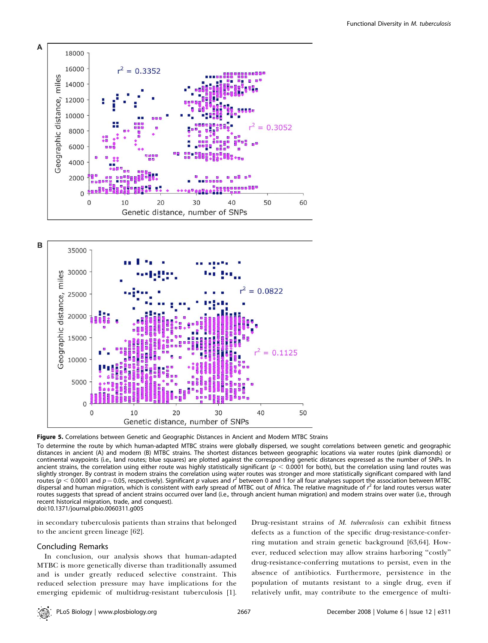

Figure 5. Correlations between Genetic and Geographic Distances in Ancient and Modern MTBC Strains

To determine the route by which human-adapted MTBC strains were globally dispersed, we sought correlations between genetic and geographic distances in ancient (A) and modern (B) MTBC strains. The shortest distances between geographic locations via water routes (pink diamonds) or continental waypoints (i.e., land routes; blue squares) are plotted against the corresponding genetic distances expressed as the number of SNPs. In ancient strains, the correlation using either route was highly statistically significant ( $p < 0.0001$  for both), but the correlation using land routes was slightly stronger. By contrast in modern strains the correlation using water routes was stronger and more statistically significant compared with land routes (p  $<$  0.0001 and p = 0.05, respectively). Significant p values and  $r^2$  between 0 and 1 for all four analyses support the association between MTBC dispersal and human migration, which is consistent with early spread of MTBC out of Africa. The relative magnitude of  $r^2$  for land routes versus water routes suggests that spread of ancient strains occurred over land (i.e., through ancient human migration) and modern strains over water (i.e., through recent historical migration, trade, and conquest). doi:10.1371/journal.pbio.0060311.g005

in secondary tuberculosis patients than strains that belonged to the ancient green lineage [62].

#### Concluding Remarks

In conclusion, our analysis shows that human-adapted MTBC is more genetically diverse than traditionally assumed and is under greatly reduced selective constraint. This reduced selection pressure may have implications for the emerging epidemic of multidrug-resistant tuberculosis [1].

Drug-resistant strains of M. tuberculosis can exhibit fitness defects as a function of the specific drug-resistance-conferring mutation and strain genetic background [63,64]. However, reduced selection may allow strains harboring ''costly'' drug-resistance-conferring mutations to persist, even in the absence of antibiotics. Furthermore, persistence in the population of mutants resistant to a single drug, even if relatively unfit, may contribute to the emergence of multi-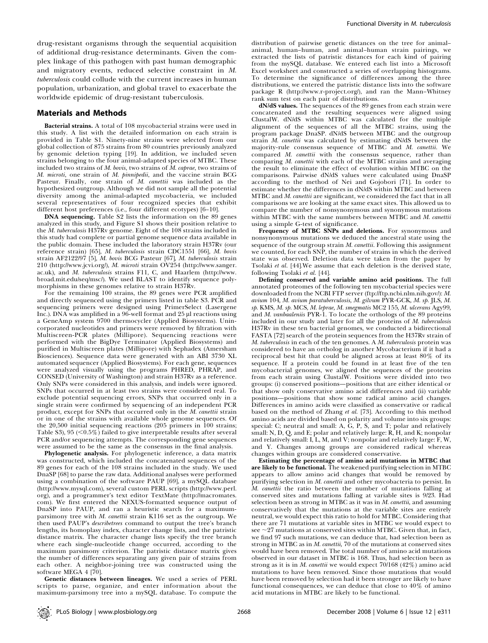drug-resistant organisms through the sequential acquisition of additional drug-resistance determinants. Given the complex linkage of this pathogen with past human demographic and migratory events, reduced selective constraint in M. tuberculosis could collude with the current increases in human population, urbanization, and global travel to exacerbate the worldwide epidemic of drug-resistant tuberculosis.

#### Materials and Methods

Bacterial strains. A total of 108 mycobacterial strains were used in this study. A list with the detailed information on each strain is provided in Table S1. Ninety-nine strains were selected from our global collection of 875 strains from 80 countries previously analyzed by genomic deletion typing [19]. In addition, we included seven strains belonging to the four animal-adapted species of MTBC. These included two strains of  $M$ . bovis, two strains of  $\overline{M}$ . caprae, two strains of M. microti, one strain of M. pinnipedii, and the vaccine strain BCG Pasteur. Finally, one strain of M. canettii was included as the hypothesized outgroup. Although we did not sample all the potential diversity among the animal-adapted mycobacteria, we included several representatives of four recognized species that exhibit different host preferences (i.e., four different ecotypes) [6–10].

DNA sequencing. Table S2 lists the information on the 89 genes analyzed in this study, and Figure S1 shows their position relative to the M. tuberculosis H37Rv genome. Eight of the 108 strains included in this study had complete or partial genome sequence data available in the public domain. These included the laboratory strain H37Rv (our reference strain) [65], M. tuberculosis strain CDC1551 [66], M. bovis strain AF2122/97 [5], M. bovis BCG Pasteur [67], M. tuberculosis strain 210 (http://www.jcvi.org/), M. microti strain OV254 (http://www.sanger. ac.uk), and M. tuberculosis strains F11, C, and Haarlem (http://www. broad.mit.edu/seq/msc/). We used BLAST to identify sequence polymorphisms in these genomes relative to strain H37Rv.

For the remaining 100 strains, the 89 genes were PCR amplified and directly sequenced using the primers listed in table S3. PCR and sequencing primers were designed using PrimerSelect (Lasergene Inc.). DNA was amplified in a 96-well format and  $25 \mu$  reactions using a GeneAmp system 9700 thermocycler (Applied Biosystems). Unincorporated nucleotides and primers were removed by filtration with Multiscreen-PCR plates (Millipore). Sequencing reactions were performed with the BigDye Terminator (Applied Biosystems) and purified in Multiscreen plates (Millipore) with Sephadex (Amersham Biosciences). Sequence data were generated with an ABI 3730 XL automated sequencer (Applied Biosystems). For each gene, sequences were analyzed visually using the programs PHRED, PHRAP, and CONSED (University of Washington) and strain H37Rv as a reference. Only SNPs were considered in this analysis, and indels were ignored. SNPs that occurred in at least two strains were considered real. To exclude potential sequencing errors, SNPs that occurred only in a single strain were confirmed by sequencing of an independent PCR product, except for SNPs that occurred only in the M. canettii strain or in one of the strains with available whole genome sequences. Of the 20,500 initial sequencing reactions (205 primers in 100 strains; Table S3),  $95$  (<0.5%) failed to give interpretable results after several PCR and/or sequencing attempts. The corresponding gene sequences were assumed to be the same as the consensus in the final analysis.

Phylogenetic analysis. For phylogenetic inference, a data matrix was constructed, which included the concatenated sequences of the 89 genes for each of the 108 strains included in the study. We used DnaSP [68] to parse the raw data. Additional analyses were performed using a combination of the software PAUP [69], a mySQL database (http://www.mysql.com), several custom PERL scripts (http://www.perl. org), and a programmer's text editor TextMate (http://macromates. com). We first entered the NEXUS-formatted sequence output of DnaSP into PAUP, and ran a heuristic search for a maximumparsimony tree with M. canettii strain K116 set as the outgroup. We then used PAUP's *describetrees* command to output the tree's branch lengths, its homoplasy index, character change lists, and the patristic distance matrix. The character change lists specify the tree branch where each single-nucleotide change occurred, according to the maximum parsimony criterion. The patristic distance matrix gives the number of differences separating any given pair of strains from each other. A neighbor-joining tree was constructed using the software MEGA 4 [70].

Genetic distances between lineages. We used a series of PERL scripts to parse, organize, and enter information about the maximum-parsimony tree into a mySQL database. To compute the distribution of pairwise genetic distances on the tree for animal– animal, human–human, and animal–human strain pairings, we extracted the lists of patristic distances for each kind of pairing from the mySQL database. We entered each list into a Microsoft Excel worksheet and constructed a series of overlapping histograms. To determine the significance of differences among the three distributions, we entered the patristic distance lists into the software package R (http://www.r-project.org/), and ran the Mann–Whitney rank sum test on each pair of distributions.

dN/dS values. The sequences of the 89 genes from each strain were concatenated and the resulting sequences were aligned using ClustalW. dN/dS within MTBC was calculated for the multiple alignment of the sequences of all the MTBC strains, using the program package DnaSP. dN/dS between MTBC and the outgroup strain M. canettii was calculated by estimating dN/dS between the majority-rule consensus sequence of MTBC and M. canettii. We compared M. canettii with the consensus sequence, rather than comparing *M. canettii* with each of the MTBC strains and averaging the result to eliminate the effect of evolution within MTBC on the comparisons. Pairwise dN/dS values were calculated using DnaSP according to the method of Nei and Gojobori [71]. In order to estimate whether the differences in dN/dS within MTBC and between MTBC and M. canettii are significant, we considered the fact that in all comparisons we are looking at the same exact sites. This allowed us to compare the number of nonsynonymous and synonymous mutations within MTBC with the same numbers between MTBC and M. canettii using a simple G-test of significance.

Frequency of MTBC SNPs and deletions. For synonymous and nonsynonymous mutations we deduced the ancestral state using the sequence of the outgroup strain *M. canettii.* Following this assignment we counted, for each SNP, the number of strains in which the derived state was observed. Deletion data were taken from the paper by Tsolaki et al. [44].We assume that each deletion is the derived state, following Tsolaki et al. [44].

Defining conserved and variable amino acid positions. The full annotated proteomes of the following ten mycobacterial species were downloaded from the NCBI FTP server (ftp://ftp.ncbi.nlm.nih.gov/): M. avium 104, M. avium paratuberculosis, M. gilvum PYR-GCK, M. sp. JLS, M. sp. KMS, M. sp. MCS, M. leprae, M. smegmatis MC2 155, M. ulcerans Agy99, and M. vanbaaleniis PYR-1. To locate the orthologs of the 89 proteins included in our study and later for all the proteins of M. tuberculosis H37Rv in these ten bacterial genomes, we conducted a bidirectional FASTA [72] search of the protein sequences from the H37Rv strain of M. tuberculosis in each of the ten genomes. A M. tuberculosis protein was considered to have an ortholog in another Mycobacterium if it had a reciprocal best hit that could be aligned across at least 80% of its sequence. If a protein could be found in at least five of the ten mycobacterial genomes, we aligned the sequences of the proteins from each strain using ClustalW. Positions were divided into two groups: (i) conserved positions—positions that are either identical or that show only conservative amino acid differences and (ii) variable positions—positions that show some radical amino acid changes. Differences in amino acids were classified as conservative or radical based on the method of Zhang et al. [73]. According to this method amino acids are divided based on polarity and volume into six groups: special: C; neutral and small: A, G, P, S, and T; polar and relatively small: N, D, Q, and E; polar and relatively large: R, H, and K; nonpolar and relatively small: I, L, M, and V; nonpolar and relatively large: F, W, and Y. Changes among groups are considered radical whereas changes within groups are considered conservative.

Estimating the percentage of amino acid mutations in MTBC that are likely to be functional. The weakened purifying selection in MTBC appears to allow amino acid changes that would be removed by purifying selection in M. canettii and other mycobacteria to persist. In M. canettii the ratio between the number of mutations falling at conserved sites and mutations falling at variable sites is 9/23. Had selection been as strong in MTBC as it was in *M. canettii*, and assuming conservatively that the mutations at the variable sites are entirely neutral, we would expect this ratio to hold for MTBC. Considering that there are 71 mutations at variable sites in MTBC we would expect to see  $\sim$  27 mutations at conserved sites within MTBC. Given that, in fact, we find 97 such mutations, we can deduce that, had selection been as strong in MTBC as in M. canettii, 70 of the mutations at conserved sites would have been removed. The total number of amino acid mutations observed in our dataset in MTBC is 168. Thus, had selection been as strong as it is in M. canettii we would expect 70/168 (42%) amino acid mutations to have been removed. Since those mutations that would have been removed by selection had it been stronger are likely to have functional consequences, we can deduce that close to 40% of amino acid mutations in MTBC are likely to be functional.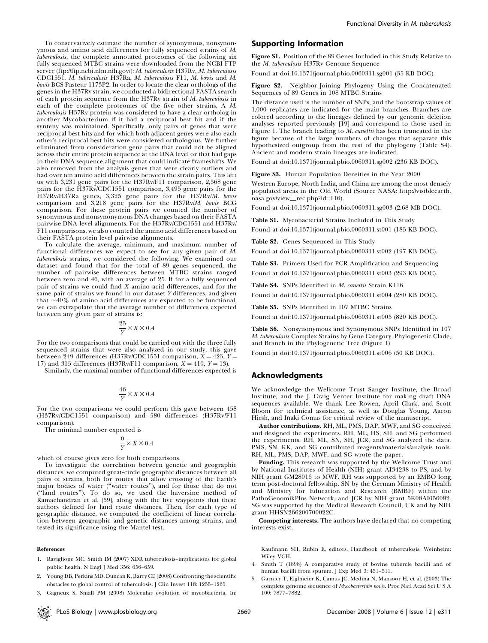To conservatively estimate the number of synonymous, nonsynonymous and amino acid differences for fully sequenced strains of M. tuberculosis, the complete annotated proteomes of the following six fully sequenced MTBC strains were downloaded from the NCBI FTP server (ftp://ftp.ncbi.nlm.nih.gov/): M. tuberculosis H37Rv, M. tuberculosis CDC1551, M. tuberculosis H37Ra, M. tuberculosis F11, M. bovis and M. bovis BCS Pasteur 1173P2. In order to locate the clear orthologs of the genes in the H37Rv strain, we conducted a bidirectional FASTA search of each protein sequence from the H37Rv strain of M. tuberculosis in each of the complete proteomes of the five other strains. A M. tuberculosis H37Rv protein was considered to have a clear ortholog in another Mycobacterium if it had a reciprocal best hit and if the synteny was maintained. Specifically, only pairs of genes that were reciprocal best hits and for which both adjacent genes were also each other's reciprocal best hits were considered orthologous. We further eliminated from consideration gene pairs that could not be aligned across their entire protein sequence at the DNA level or that had gaps in their DNA sequence alignment that could indicate frameshifts. We also removed from the analysis genes that were clearly outliers and had over ten amino acid differences between the strain pairs. This left us with 3,231 gene pairs for the H37Rv/F11 comparison, 2,568 gene pairs for the H37Rv/CDC1551 comparison, 3,495 gene pairs for the H37Rv/H37Ra genes, 3,325 gene pairs for the H37Rv/M. bovis comparison and 3,218 gene pairs for the H37Rv/M. bovis BCG comparison. For these protein pairs we counted the number of synonymous and nonsynonymous DNA changes based on their FASTA pairwise DNA-level alignments. For the H37Rv/CDC1551 and H37Rv/ F11 comparisons, we also counted the amino acid differences based on their FASTA protein level pairwise alignments.

To calculate the average, minimum, and maximum number of functional differences we expect to see for any given pair of M. tuberculosis strains, we considered the following. We examined our dataset and found that for the total of 89 genes sequenced, the number of pairwise differences between MTBC strains ranged between zero and 46, with an average of 25. If for a fully sequenced pair of strains we could find X amino acid differences, and for the same pair of strains we found in our dataset Y differences, and given that  $\sim$ 40% of amino acid differences are expected to be functional, we can extrapolate that the average number of differences expected between any given pair of strains is:

$$
\frac{25}{Y} \times X \times 0.4
$$

For the two comparisons that could be carried out with the three fully sequenced strains that were also analyzed in our study, this gave between 249 differences (H37Rv/CDC1551 comparison,  $X = 423$ ,  $Y =$ 17) and 315 differences (H37Rv/F11 comparison,  $X = 410$ ,  $Y = 13$ ).

Similarly, the maximal number of functional differences expected is

$$
\frac{46}{Y} \times X \times 0.4
$$

For the two comparisons we could perform this gave between 458 (H37Rv/CDC1551 comparison) and 580 differences (H37Rv/F11 comparison).

The minimal number expected is

$$
\frac{0}{Y} \times X \times 0.4
$$

which of course gives zero for both comparisons.

To investigate the correlation between genetic and geographic distances, we computed great-circle geographic distances between all pairs of strains, both for routes that allow crossing of the Earth's major bodies of water (''water routes''), and for those that do not (''land routes''). To do so, we used the haversine method of Ramachandran et al. [59], along with the five waypoints that these authors defined for land route distances. Then, for each type of geographic distance, we computed the coefficient of linear correlation between geographic and genetic distances among strains, and tested its significance using the Mantel test.

#### References

- 1. Raviglione MC, Smith IM (2007) XDR tuberculosis–implications for global public health. N Engl J Med 356: 656–659.
- 2. Young DB, Perkins MD, Duncan K, Barry CE (2008) Confronting the scientific obstacles to global control of tuberculosis. J Clin Invest 118: 1255–1265.
- 3. Gagneux S, Small PM (2008) Molecular evolution of mycobacteria. In:

### Supporting Information

Figure S1. Position of the 89 Genes Included in this Study Relative to the M. tuberculosis H37Rv Genome Sequence

Found at doi:10.1371/journal.pbio.0060311.sg001 (35 KB DOC).

Figure S2. Neighbor-Joining Phylogeny Using the Concatenated Sequences of 89 Genes in 108 MTBC Strains

The distance used is the number of SNPs, and the bootstrap values of 1,000 replicates are indicated for the main branches. Branches are colored according to the lineages defined by our genomic deletion analyses reported previously [19] and correspond to those used in Figure 1. The branch leading to M. canettii has been truncated in the figure because of the large numbers of changes that separate this hypothesized outgroup from the rest of the phylogeny (Table S4). Ancient and modern strain lineages are indicated.

Found at doi:10.1371/journal.pbio.0060311.sg002 (236 KB DOC).

Figure S3. Human Population Densities in the Year 2000

Western Europe, North India, and China are among the most densely populated areas in the Old World (Source NASA: http://visibleearth. nasa.gov/view\_rec.php?id=116).

Found at doi:10.1371/journal.pbio.0060311.sg003 (2.68 MB DOC).

Table S1. Mycobacterial Strains Included in This Study Found at doi:10.1371/journal.pbio.0060311.st001 (185 KB DOC).

Table S2. Genes Sequenced in This Study

Found at doi:10.1371/journal.pbio.0060311.st002 (197 KB DOC).

Table S3. Primers Used for PCR Amplification and Sequencing Found at doi:10.1371/journal.pbio.0060311.st003 (293 KB DOC).

Table S4. SNPs Identified in M. canettii Strain K116

Found at doi:10.1371/journal.pbio.0060311.st004 (280 KB DOC).

Table S5. SNPs Identified in 107 MTBC Strains

Found at doi:10.1371/journal.pbio.0060311.st005 (820 KB DOC).

Table S6. Nonsynonymous and Synonymous SNPs Identified in 107 M. tuberculosis Complex Strains by Gene Category, Phylogenetic Clade, and Branch in the Phylogenetic Tree (Figure 1)

Found at doi:10.1371/journal.pbio.0060311.st006 (50 KB DOC).

#### Acknowledgments

We acknowledge the Wellcome Trust Sanger Institute, the Broad Institute, and the J. Craig Venter Institute for making draft DNA sequences available. We thank Lee Rowen, April Clark, and Scott Bloom for technical assistance, as well as Douglas Young, Aaron Hirsh, and Iñaki Comas for critical review of the manuscript.

Author contributions. RH, ML, PMS, DAP, MWF, and SG conceived and designed the experiments. RH, ML, HS, SH, and SG performed the experiments. RH, ML, SN, SH, JCR, and SG analyzed the data. PMS, SN, KK, and SG contributed reagents/materials/analysis tools. RH, ML, PMS, DAP, MWF, and SG wrote the paper.

Funding. This research was supported by the Wellcome Trust and by National Institutes of Health (NIH) grant AI34238 to PS, and by NIH grant GM28016 to MWF. RH was supported by an EMBO long term post-doctoral fellowship, SN by the German Ministry of Health and Ministry for Education and Research (BMBF) within the PathoGenomikPlus Network, and JCR by NIH grant 5K08AI056092. SG was supported by the Medical Research Council, UK and by NIH grant HHSN266200700022C.

Competing interests. The authors have declared that no competing interests exist.

Kaufmann SH, Rubin E, editors. Handbook of tuberculosis. Weinheim: Wiley VCH.

- 4. Smith T (1898) A comparative study of bovine tubercle bacilli and of human bacilli from sputum. J Exp Med 3: 451–511.
- 5. Garnier T, Eiglmeier K, Camus JC, Medina N, Mansoor H, et al. (2003) The complete genome sequence of Mycobacterium bovis. Proc Natl Acad Sci U S A 100: 7877–7882.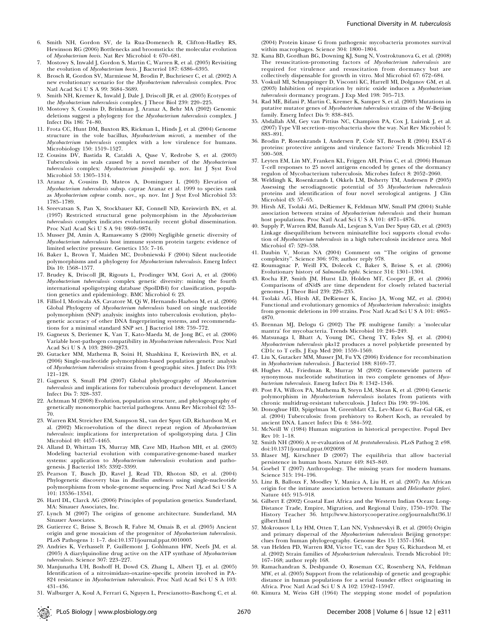- 6. Smith NH, Gordon SV, de la Rua-Domenech R, Clifton-Hadley RS, Hewinson RG (2006) Bottlenecks and broomsticks: the molecular evolution of Mycobacterium bovis. Nat Rev Microbiol 4: 670–681.
- 7. Mostowy S, Inwald J, Gordon S, Martin C, Warren R, et al. (2005) Revisiting the evolution of Mycobacterium bovis. J Bacteriol 187: 6386–6395.
- 8. Brosch R, Gordon SV, Marmiesse M, Brodin P, Buchrieser C, et al. (2002) A new evolutionary scenario for the Mycobacterium tuberculosis complex. Proc Natl Acad Sci U S A 99: 3684–3689.
- 9. Smith NH, Kremer K, Inwald J, Dale J, Driscoll JR, et al. (2005) Ecotypes of the Mycobacterium tuberculosis complex. J Theor Biol 239: 220–225.
- 10. Mostowy S, Cousins D, Brinkman J, Aranaz A, Behr MA (2002) Genomic deletions suggest a phylogeny for the Mycobacterium tuberculosis complex. J Infect Dis 186: 74–80.
- 11. Frota CC, Hunt DM, Buxton RS, Rickman L, Hinds J, et al. (2004) Genome structure in the vole bacillus, Mycobacterium microti, a member of the Mycobacterium tuberculosis complex with a low virulence for humans. Microbiology 150: 1519–1527.
- 12. Cousins DV, Bastida R, Cataldi A, Quse V, Redrobe S, et al. (2003) Tuberculosis in seals caused by a novel member of the Mycobacterium tuberculosis complex: Mycobacterium pinnipedii sp. nov. Int J Syst Evol Microbiol 53: 1305–1314.
- 13. Aranaz A, Cousins D, Mateos A, Dominguez L (2003) Elevation of Mycobacterium tuberculosis subsp. caprae Aranaz et al. 1999 to species rank as Mycobacterium caprae comb. nov., sp. nov. Int J Syst Evol Microbiol 53: 1785–1789.
- 14. Sreevatsan S, Pan X, Stockbauer KE, Connell ND, Kreiswirth BN, et al. (1997) Restricted structural gene polymorphism in the Mycobacterium tuberculosis complex indicates evolutionarily recent global dissemination. Proc Natl Acad Sci U S A 94: 9869–9874.
- 15. Musser JM, Amin A, Ramaswamy S (2000) Negligible genetic diversity of Mycobacterium tuberculosis host immune system protein targets: evidence of limited selective pressure. Genetics 155: 7–16.
- 16. Baker L, Brown T, Maiden MC, Drobniewski F (2004) Silent nucleotide polymorphisms and a phylogeny for Mycobacterium tuberculosis. Emerg Infect Dis 10: 1568–1577.
- 17. Brudey K, Driscoll JR, Rigouts L, Prodinger WM, Gori A, et al. (2006) Mycobacterium tuberculosis complex genetic diversity: mining the fourth international spoligotyping database (SpolDB4) for classification, population genetics and epidemiology. BMC Microbiol 6: 23.
- 18. Filliol I, Motiwala AS, Cavatore M, Qi W, Hernando Hazbon M, et al. (2006) Global Phylogeny of Mycobacterium tuberculosis based on single nucleotide polymorphism (SNP) analysis: insights into tuberculosis evolution, phylogenetic accuracy of other DNA fingerprinting systems, and recommendations for a minimal standard SNP set. J Bacteriol 188: 759–772.
- 19. Gagneux S, Deriemer K, Van T, Kato-Maeda M, de Jong BC, et al. (2006) Variable host-pathogen compatibility in Mycobacterium tuberculosis. Proc Natl Acad Sci U S A 103: 2869–2873.
- 20. Gutacker MM, Mathema B, Soini H, Shashkina E, Kreiswirth BN, et al. (2006) Single-nucleotide polymorphism-based population genetic analysis of Mycobacterium tuberculosis strains from 4 geographic sites. J Infect Dis 193: 121–128.
- 21. Gagneux S, Small PM (2007) Global phylogeography of Mycobacterium tuberculosis and implications for tuberculosis product development. Lancet Infect Dis 7: 328–337.
- 22. Achtman M (2008) Evolution, population structure, and phylogeography of genetically monomorphic bacterial pathogens. Annu Rev Microbiol 62: 53– 70.
- 23. Warren RM, Streicher EM, Sampson SL, van der Spuy GD, Richardson M, et al. (2002) Microevolution of the direct repeat region of Mycobacterium tuberculosis: implications for interpretation of spoligotyping data. J Clin Microbiol 40: 4457–4465.
- 24. Alland D, Whittam TS, Murray MB, Cave MD, Hazbon MH, et al. (2003) Modeling bacterial evolution with comparative-genome-based marker systems: application to Mycobacterium tuberculosis evolution and pathogenesis. J Bacteriol 185: 3392–3399.
- 25. Pearson T, Busch JD, Ravel J, Read TD, Rhoton SD, et al. (2004) Phylogenetic discovery bias in Bacillus anthracis using single-nucleotide polymorphisms from whole-genome sequencing. Proc Natl Acad Sci U S A 101: 13536–13541.
- 26. Hartl DL, Clarck AG (2006) Principles of population genetics. Sunderland, MA: Sinauer Associates, Inc.
- 27. Lynch M (2007) The origins of genome architecture. Sunderland, MA Sinauer Associates.
- 28. Gutierrez C, Brisse S, Brosch R, Fabre M, Omais B, et al. (2005) Ancient origin and gene mosaicism of the progenitor of Mycobacterium tuberculosis. PLoS Pathogens 1: 1–7. doi:10.1371/journal.ppat.0010005
- 29. Andries K, Verhasselt P, Guillemont J, Gohlmann HW, Neefs JM, et al.  $(2005)$  A diarylquinoline drug active on the ATP synthase of *Mycobacterium* tuberculosis. Science 307: 223–227.
- 30. Manjunatha UH, Boshoff H, Dowd CS, Zhang L, Albert TJ, et al. (2005) Identification of a nitroimidazo-oxazine-specific protein involved in PA-824 resistance in Mycobacterium tuberculosis. Proc Natl Acad Sci U S A 103: 431–436.
- 31. Walburger A, Koul A, Ferrari G, Nguyen L, Prescianotto-Baschong C, et al.

(2004) Protein kinase G from pathogenic mycobacteria promotes survival within macrophages. Science 304: 1800–1804.

- 32. Kana BD, Gordhan BG, Downing KJ, Sung N, Vostroktunova G, et al. (2008) The resuscitation-promoting factors of Mycobacterium tuberculosis are required for virulence and resuscitation from dormancy but are collectively dispensable for growth in vitro. Mol Microbiol 67: 672–684.
- 33. Voskuil MI, Schnappinger D, Visconti KC, Harrell MI, Dolganov GM, et al. (2003) Inhibition of respiration by nitric oxide induces a Mycobacterium tuberculosis dormancy program. J Exp Med 198: 705–713.
- 34. Rad ME, Bifani P, Martin C, Kremer K, Samper S, et al. (2003) Mutations in putative mutator genes of Mycobacterium tuberculosis strains of the W-Beijing family. Emerg Infect Dis 9: 838–845.
- 35. Abdallah AM, Gey van Pittius NC, Champion PA, Cox J, Luirink J, et al. (2007) Type VII secretion–mycobacteria show the way. Nat Rev Microbiol 5: 883–891.
- 36. Brodin P, Rosenkrands I, Andersen P, Cole ST, Brosch R (2004) ESAT-6 proteins: protective antigens and virulence factors? Trends Microbiol 12: 500–508.
- 37. Leyten EM, Lin MY, Franken KL, Friggen AH, Prins C, et al. (2006) Human T-cell responses to 25 novel antigens encoded by genes of the dormancy regulon of Mycobacterium tuberculosis. Microbes Infect 8: 2052–2060.
- 38. Weldingh K, Rosenkrands I, Okkels LM, Doherty TM, Andersen P (2005) Assessing the serodiagnostic potential of 35 Mycobacterium tuberculosis proteins and identification of four novel serological antigens. J Clin Microbiol 43: 57–65.
- 39. Hirsh AE, Tsolaki AG, DeRiemer K, Feldman MW, Small PM (2004) Stable association between strains of Mycobacterium tuberculosis and their human host populations. Proc Natl Acad Sci U S A 101: 4871–4876.
- 40. Supply P, Warren RM, Banuls AL, Lesjean S, Van Der Spuy GD, et al. (2003) Linkage disequilibrium between minisatellite loci supports clonal evolution of Mycobacterium tuberculosis in a high tuberculosis incidence area. Mol Microbiol 47: 529–538.
- 41. Daubin V, Moran NA (2004) Comment on ''The origins of genome complexity''. Science 306: 978; author reply 978.
- 42. Roumagnac P, Weill FX, Dolecek C, Baker S, Brisse S, et al. (2006) Evolutionary history of Salmonella typhi. Science 314: 1301–1304.
- 43. Rocha EP, Smith JM, Hurst LD, Holden MT, Cooper JE, et al. (2006) Comparisons of dN/dS are time dependent for closely related bacterial genomes. J Theor Biol 239: 226–235.
- 44. Tsolaki AG, Hirsh AE, DeRiemer K, Enciso JA, Wong MZ, et al. (2004) Functional and evolutionary genomics of Mycobacterium tuberculosis: insights from genomic deletions in 100 strains. Proc Natl Acad Sci U S A 101: 4865– 4870.
- 45. Brennan MJ, Delogu G (2002) The PE multigene family: a 'molecular mantra' for mycobacteria. Trends Microbiol 10: 246–249.
- 46. Matsunaga I, Bhatt A, Young DC, Cheng TY, Eyles SJ, et al. (2004) Mycobacterium tuberculosis pks12 produces a novel polyketide presented by CD1c to T cells. J Exp Med 200: 1559–1569.
- 47. Liu X, Gutacker MM, Musser JM, Fu YX (2006) Evidence for recombination in Mycobacterium tuberculosis. J Bacteriol 188: 8169–77.
- 48. Hughes AL, Friedman R, Murray M (2002) Genomewide pattern of synonymous nucleotide substitution in two complete genomes of Mycobacterium tuberculosis. Emerg Infect Dis 8: 1342–1346.
- 49. Post FA, Willcox PA, Mathema B, Steyn LM, Shean K, et al. (2004) Genetic polymorphism in Mycobacterium tuberculosis isolates from patients with chronic multidrug-resistant tuberculosis. J Infect Dis 190: 99–106.
- 50. Donoghue HD, Spigelman M, Greenblatt CL, Lev-Maor G, Bar-Gal GK, et al. (2004) Tuberculosis: from prehistory to Robert Koch, as revealed by ancient DNA. Lancet Infect Dis 4: 584–592.
- 51. McNeill W (1984) Human migration in historical perspective. Popul Dev Rev 10: 1–18.
- 52. Smith NH (2006) A re-evaluation of M. prototuberculosis. PLoS Pathog 2: e98. doi:10.1371/journal.ppat.0020098
- 53. Blaser MJ, Kirschner D (2007) The equilibria that allow bacterial persistence in human hosts. Nature 449: 843–849.
- 54. Goebel T (2007) Anthropology. The missing years for modern humans. Science 315: 194–196.
- 55. Linz B, Balloux F, Moodley Y, Manica A, Liu H, et al. (2007) An African origin for the intimate association between humans and Helicobacter pylori. Nature 445: 915–918.
- 56. Gilbert E (2002) Coastal East Africa and the Western Indian Ocean: Long-Distance Trade, Empire, Migration, and Regional Unity, 1750–1970. The History Teacher 36. http://www.historycooperative.org/journals/ht/36.1/ gilbert.html
- 57. Mokrousov I, Ly HM, Otten T, Lan NN, Vyshnevskyi B, et al. (2005) Origin and primary dispersal of the Mycobacterium tuberculosis Beijing genotype: clues from human phylogeography. Genome Res 15: 1357–1364.
- 58. van Helden PD, Warren RM, Victor TC, van der Spuy G, Richardson M, et al. (2002) Strain families of Mycobacterium tuberculosis. Trends Microbiol 10:: 167–168; author reply 168.
- 59. Ramachandran S, Deshpande O, Roseman CC, Rosenberg NA, Feldman MW, et al. (2005) Support from the relationship of genetic and geographic distance in human populations for a serial founder effect originating in Africa. Proc Natl Acad Sci U S A 102: 15942–15947.
- 60. Kimura M, Weiss GH (1964) The stepping stone model of population